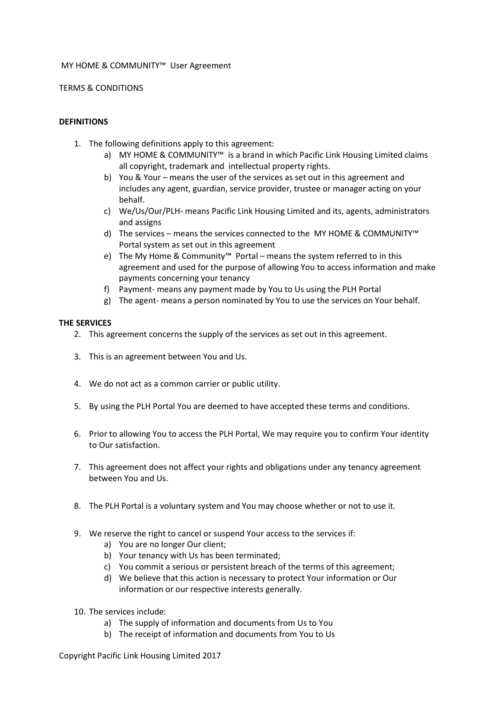### MY HOME & COMMUNITY™ User Agreement

TERMS & CONDITIONS

## **DEFINITIONS**

- 1. The following definitions apply to this agreement:
	- a) MY HOME & COMMUNITY™ is a brand in which Pacific Link Housing Limited claims all copyright, trademark and intellectual property rights.
	- b) You & Your means the user of the services as set out in this agreement and includes any agent, guardian, service provider, trustee or manager acting on your behalf.
	- c) We/Us/Our/PLH- means Pacific Link Housing Limited and its, agents, administrators and assigns
	- d) The services means the services connected to the MY HOME & COMMUNITY™ Portal system as set out in this agreement
	- e) The My Home & Community™ Portal means the system referred to in this agreement and used for the purpose of allowing You to access information and make payments concerning your tenancy
	- f) Payment- means any payment made by You to Us using the PLH Portal
	- g) The agent- means a person nominated by You to use the services on Your behalf.

## **THE SERVICES**

- 2. This agreement concerns the supply of the services as set out in this agreement.
- 3. This is an agreement between You and Us.
- 4. We do not act as a common carrier or public utility.
- 5. By using the PLH Portal You are deemed to have accepted these terms and conditions.
- 6. Prior to allowing You to access the PLH Portal, We may require you to confirm Your identity to Our satisfaction.
- 7. This agreement does not affect your rights and obligations under any tenancy agreement between You and Us.
- 8. The PLH Portal is a voluntary system and You may choose whether or not to use it.
- 9. We reserve the right to cancel or suspend Your access to the services if:
	- a) You are no longer Our client;
	- b) Your tenancy with Us has been terminated;
	- c) You commit a serious or persistent breach of the terms of this agreement;
	- d) We believe that this action is necessary to protect Your information or Our information or our respective interests generally.
- 10. The services include:
	- a) The supply of information and documents from Us to You
	- b) The receipt of information and documents from You to Us

Copyright Pacific Link Housing Limited 2017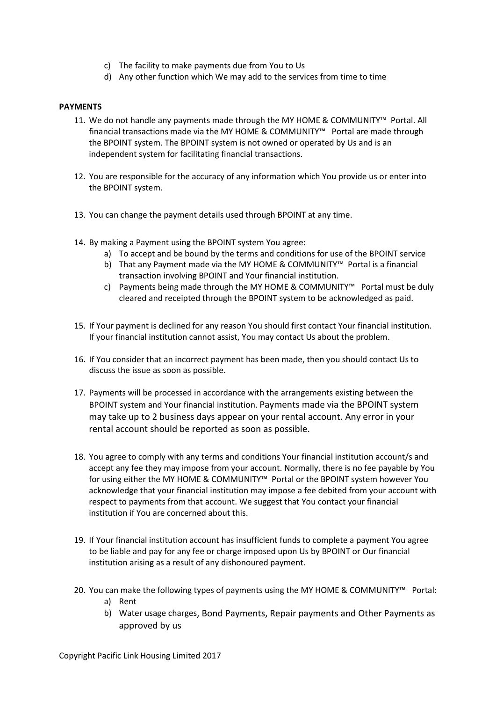- c) The facility to make payments due from You to Us
- d) Any other function which We may add to the services from time to time

## **PAYMENTS**

- 11. We do not handle any payments made through the MY HOME & COMMUNITY™ Portal. All financial transactions made via the MY HOME & COMMUNITY™ Portal are made through the BPOINT system. The BPOINT system is not owned or operated by Us and is an independent system for facilitating financial transactions.
- 12. You are responsible for the accuracy of any information which You provide us or enter into the BPOINT system.
- 13. You can change the payment details used through BPOINT at any time.
- 14. By making a Payment using the BPOINT system You agree:
	- a) To accept and be bound by the terms and conditions for use of the BPOINT service
	- b) That any Payment made via the MY HOME & COMMUNITY™ Portal is a financial transaction involving BPOINT and Your financial institution.
	- c) Payments being made through the MY HOME & COMMUNITY™ Portal must be duly cleared and receipted through the BPOINT system to be acknowledged as paid.
- 15. If Your payment is declined for any reason You should first contact Your financial institution. If your financial institution cannot assist, You may contact Us about the problem.
- 16. If You consider that an incorrect payment has been made, then you should contact Us to discuss the issue as soon as possible.
- 17. Payments will be processed in accordance with the arrangements existing between the BPOINT system and Your financial institution. Payments made via the BPOINT system may take up to 2 business days appear on your rental account. Any error in your rental account should be reported as soon as possible.
- 18. You agree to comply with any terms and conditions Your financial institution account/s and accept any fee they may impose from your account. Normally, there is no fee payable by You for using either the MY HOME & COMMUNITY™ Portal or the BPOINT system however You acknowledge that your financial institution may impose a fee debited from your account with respect to payments from that account. We suggest that You contact your financial institution if You are concerned about this.
- 19. If Your financial institution account has insufficient funds to complete a payment You agree to be liable and pay for any fee or charge imposed upon Us by BPOINT or Our financial institution arising as a result of any dishonoured payment.
- 20. You can make the following types of payments using the MY HOME & COMMUNITY™ Portal:
	- a) Rent
	- b) Water usage charges, Bond Payments, Repair payments and Other Payments as approved by us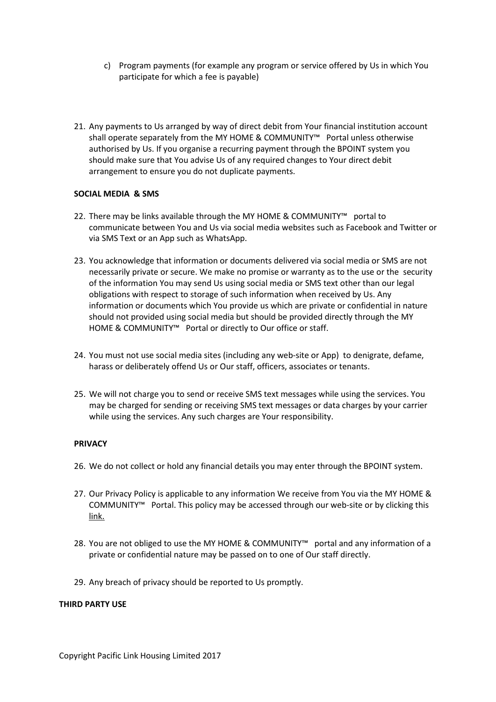- c) Program payments (for example any program or service offered by Us in which You participate for which a fee is payable)
- 21. Any payments to Us arranged by way of direct debit from Your financial institution account shall operate separately from the MY HOME & COMMUNITY™ Portal unless otherwise authorised by Us. If you organise a recurring payment through the BPOINT system you should make sure that You advise Us of any required changes to Your direct debit arrangement to ensure you do not duplicate payments.

## **SOCIAL MEDIA & SMS**

- 22. There may be links available through the MY HOME & COMMUNITY™ portal to communicate between You and Us via social media websites such as Facebook and Twitter or via SMS Text or an App such as WhatsApp.
- 23. You acknowledge that information or documents delivered via social media or SMS are not necessarily private or secure. We make no promise or warranty as to the use or the security of the information You may send Us using social media or SMS text other than our legal obligations with respect to storage of such information when received by Us. Any information or documents which You provide us which are private or confidential in nature should not provided using social media but should be provided directly through the MY HOME & COMMUNITY™ Portal or directly to Our office or staff.
- 24. You must not use social media sites (including any web-site or App) to denigrate, defame, harass or deliberately offend Us or Our staff, officers, associates or tenants.
- 25. We will not charge you to send or receive SMS text messages while using the services. You may be charged for sending or receiving SMS text messages or data charges by your carrier while using the services. Any such charges are Your responsibility.

#### **PRIVACY**

- 26. We do not collect or hold any financial details you may enter through the BPOINT system.
- 27. Our Privacy Policy is applicable to any information We receive from You via the MY HOME & COMMUNITY™ Portal. This policy may be accessed through our web-site or by clicking this link.
- 28. You are not obliged to use the MY HOME & COMMUNITY™ portal and any information of a private or confidential nature may be passed on to one of Our staff directly.
- 29. Any breach of privacy should be reported to Us promptly.

#### **THIRD PARTY USE**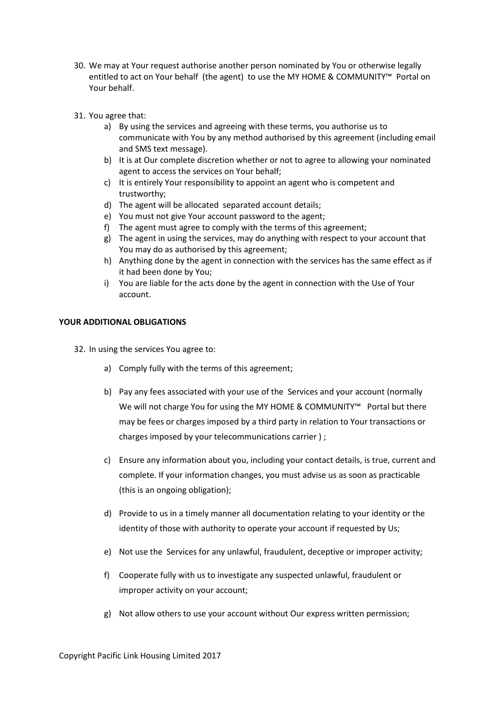- 30. We may at Your request authorise another person nominated by You or otherwise legally entitled to act on Your behalf (the agent) to use the MY HOME & COMMUNITY™ Portal on Your behalf.
- 31. You agree that:
	- a) By using the services and agreeing with these terms, you authorise us to communicate with You by any method authorised by this agreement (including email and SMS text message).
	- b) It is at Our complete discretion whether or not to agree to allowing your nominated agent to access the services on Your behalf;
	- c) It is entirely Your responsibility to appoint an agent who is competent and trustworthy;
	- d) The agent will be allocated separated account details;
	- e) You must not give Your account password to the agent;
	- f) The agent must agree to comply with the terms of this agreement;
	- g) The agent in using the services, may do anything with respect to your account that You may do as authorised by this agreement;
	- h) Anything done by the agent in connection with the services has the same effect as if it had been done by You;
	- i) You are liable for the acts done by the agent in connection with the Use of Your account.

## **YOUR ADDITIONAL OBLIGATIONS**

32. In using the services You agree to:

- a) Comply fully with the terms of this agreement;
- b) Pay any fees associated with your use of the Services and your account (normally We will not charge You for using the MY HOME & COMMUNITY™ Portal but there may be fees or charges imposed by a third party in relation to Your transactions or charges imposed by your telecommunications carrier ) ;
- c) Ensure any information about you, including your contact details, is true, current and complete. If your information changes, you must advise us as soon as practicable (this is an ongoing obligation);
- d) Provide to us in a timely manner all documentation relating to your identity or the identity of those with authority to operate your account if requested by Us;
- e) Not use the Services for any unlawful, fraudulent, deceptive or improper activity;
- f) Cooperate fully with us to investigate any suspected unlawful, fraudulent or improper activity on your account;
- g) Not allow others to use your account without Our express written permission;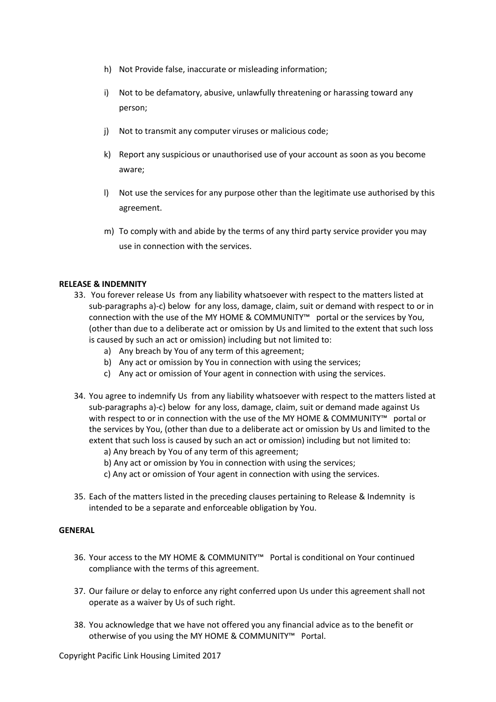- h) Not Provide false, inaccurate or misleading information;
- i) Not to be defamatory, abusive, unlawfully threatening or harassing toward any person;
- j) Not to transmit any computer viruses or malicious code;
- k) Report any suspicious or unauthorised use of your account as soon as you become aware;
- l) Not use the services for any purpose other than the legitimate use authorised by this agreement.
- m) To comply with and abide by the terms of any third party service provider you may use in connection with the services.

## **RELEASE & INDEMNITY**

- 33. You forever release Us from any liability whatsoever with respect to the matters listed at sub-paragraphs a)-c) below for any loss, damage, claim, suit or demand with respect to or in connection with the use of the MY HOME & COMMUNITY™ portal or the services by You, (other than due to a deliberate act or omission by Us and limited to the extent that such loss is caused by such an act or omission) including but not limited to:
	- a) Any breach by You of any term of this agreement;
	- b) Any act or omission by You in connection with using the services;
	- c) Any act or omission of Your agent in connection with using the services.
- 34. You agree to indemnify Us from any liability whatsoever with respect to the matters listed at sub-paragraphs a)-c) below for any loss, damage, claim, suit or demand made against Us with respect to or in connection with the use of the MY HOME & COMMUNITY™ portal or the services by You, (other than due to a deliberate act or omission by Us and limited to the extent that such loss is caused by such an act or omission) including but not limited to:
	- a) Any breach by You of any term of this agreement;
	- b) Any act or omission by You in connection with using the services;
	- c) Any act or omission of Your agent in connection with using the services.
- 35. Each of the matters listed in the preceding clauses pertaining to Release & Indemnity is intended to be a separate and enforceable obligation by You.

# **GENERAL**

- 36. Your access to the MY HOME & COMMUNITY™ Portal is conditional on Your continued compliance with the terms of this agreement.
- 37. Our failure or delay to enforce any right conferred upon Us under this agreement shall not operate as a waiver by Us of such right.
- 38. You acknowledge that we have not offered you any financial advice as to the benefit or otherwise of you using the MY HOME & COMMUNITY™ Portal.